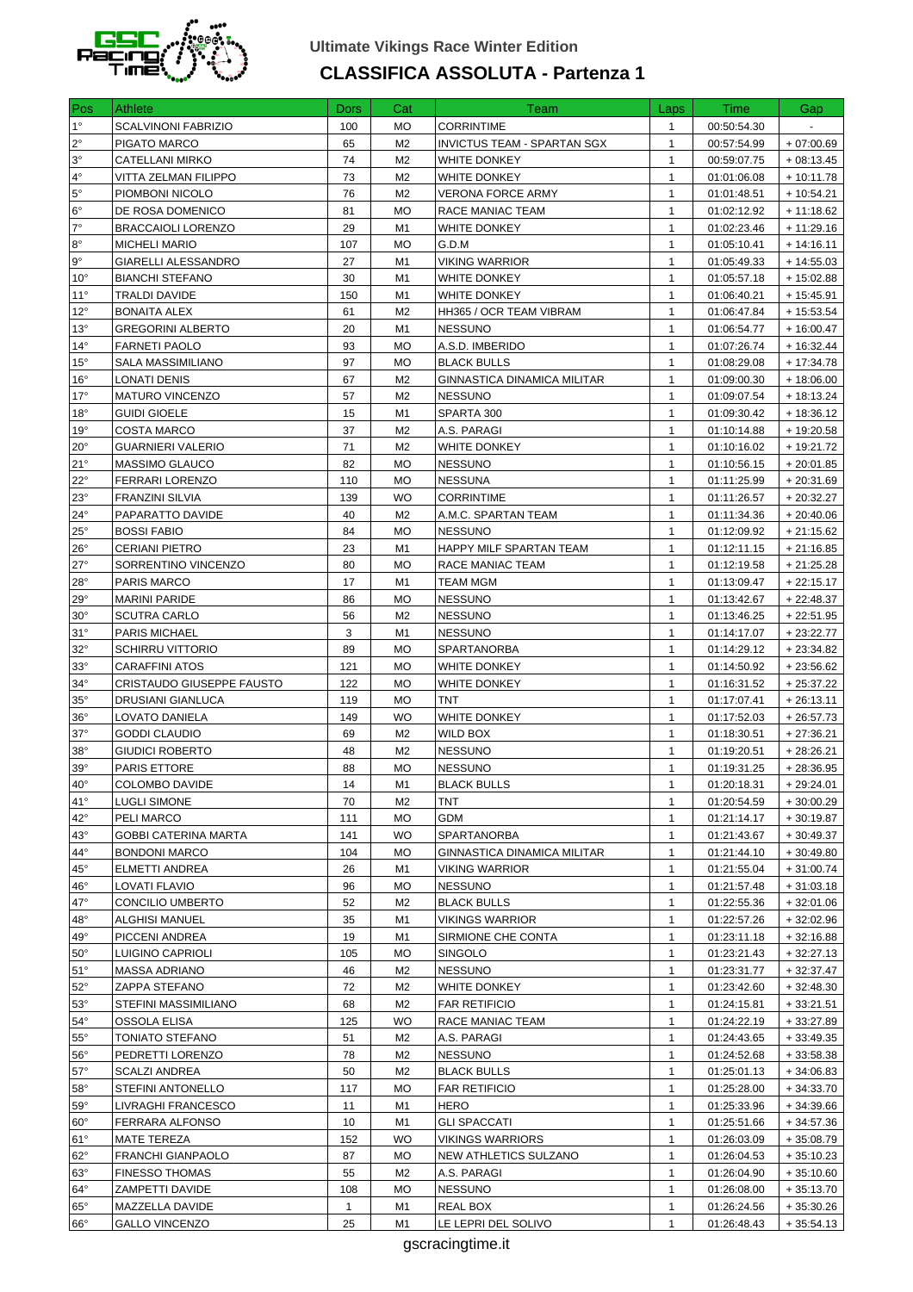

## **Ultimate Vikings Race Winter Edition CLASSIFICA ASSOLUTA - Partenza 1**

| Pos                        | <b>Athlete</b>                                 | <b>Dors</b>  | Cat                         | Team                                             | Laps                         | Time                       | Gap                        |
|----------------------------|------------------------------------------------|--------------|-----------------------------|--------------------------------------------------|------------------------------|----------------------------|----------------------------|
| $1^{\circ}$                | SCALVINONI FABRIZIO                            | 100          | МO                          | <b>CORRINTIME</b>                                | $\mathbf{1}$                 | 00:50:54.30                |                            |
| $2^{\circ}$                | PIGATO MARCO                                   | 65           | M <sub>2</sub>              | INVICTUS TEAM - SPARTAN SGX                      | $\mathbf{1}$                 | 00:57:54.99                | $+07:00.69$                |
| $ 3^{\circ} $              | CATELLANI MIRKO                                | 74           | M <sub>2</sub>              | WHITE DONKEY                                     | $\mathbf{1}$                 | 00:59:07.75                | $+08:13.45$                |
| $ 4^{\circ} $              | <b>VITTA ZELMAN FILIPPO</b>                    | 73           | M <sub>2</sub>              | WHITE DONKEY                                     | $\mathbf{1}$                 | 01:01:06.08                | $+10:11.78$                |
| $5^{\circ}$                | PIOMBONI NICOLO                                | 76           | M <sub>2</sub>              | <b>VERONA FORCE ARMY</b>                         | $\mathbf{1}$                 | 01:01:48.51                | $+10:54.21$                |
| $6^{\circ}$                | DE ROSA DOMENICO                               | 81           | МO                          | RACE MANIAC TEAM                                 | $\mathbf{1}$                 | 01:02:12.92                | $+11:18.62$                |
| $7^\circ$                  | <b>BRACCAIOLI LORENZO</b>                      | 29           | M1                          | WHITE DONKEY                                     | 1                            | 01:02:23.46                | + 11:29.16                 |
| 8°                         | <b>MICHELI MARIO</b>                           | 107          | МO                          | G.D.M                                            | $\mathbf{1}$                 | 01:05:10.41                | $+14:16.11$                |
| l 9°                       | GIARELLI ALESSANDRO                            | 27           | M1                          | <b>VIKING WARRIOR</b>                            | $\mathbf{1}$                 | 01:05:49.33                | $+14:55.03$                |
| $10^{\circ}$               | <b>BIANCHI STEFANO</b>                         | 30           | M1                          | WHITE DONKEY                                     | $\mathbf{1}$                 | 01:05:57.18                | + 15:02.88                 |
| $11^{\circ}$               | <b>TRALDI DAVIDE</b>                           | 150          | M1                          | <b>WHITE DONKEY</b>                              | $\mathbf{1}$                 | 01:06:40.21                | $+15:45.91$                |
| $12^{\circ}$               | <b>BONAITA ALEX</b>                            | 61           | M <sub>2</sub>              | HH365 / OCR TEAM VIBRAM                          | $\mathbf{1}$                 | 01:06:47.84                | $+15:53.54$                |
| $13^\circ$<br>$14^{\circ}$ | <b>GREGORINI ALBERTO</b>                       | 20<br>93     | M1<br>МO                    | <b>NESSUNO</b>                                   | $\mathbf{1}$<br>$\mathbf{1}$ | 01:06:54.77                | + 16:00.47                 |
| 15°                        | <b>FARNETI PAOLO</b><br>SALA MASSIMILIANO      | 97           | <b>MO</b>                   | A.S.D. IMBERIDO<br><b>BLACK BULLS</b>            | $\mathbf{1}$                 | 01:07:26.74<br>01:08:29.08 | $+16:32.44$<br>$+17:34.78$ |
| $16^{\circ}$               | <b>LONATI DENIS</b>                            | 67           | M <sub>2</sub>              | GINNASTICA DINAMICA MILITAR                      | $\mathbf{1}$                 | 01:09:00.30                | $+18:06.00$                |
| $17^{\circ}$               | <b>MATURO VINCENZO</b>                         | 57           | M <sub>2</sub>              | <b>NESSUNO</b>                                   | $\mathbf{1}$                 | 01:09:07.54                | $+18:13.24$                |
| $18^{\circ}$               | <b>GUIDI GIOELE</b>                            | 15           | M1                          | SPARTA 300                                       | $\mathbf{1}$                 | 01:09:30.42                | $+18:36.12$                |
| 19°                        | <b>COSTA MARCO</b>                             | 37           | M2                          | A.S. PARAGI                                      | 1                            | 01:10:14.88                | + 19:20.58                 |
| $20^{\circ}$               | <b>GUARNIERI VALERIO</b>                       | 71           | M <sub>2</sub>              | WHITE DONKEY                                     | $\mathbf{1}$                 | 01:10:16.02                | + 19:21.72                 |
| 21°                        | MASSIMO GLAUCO                                 | 82           | <b>MO</b>                   | <b>NESSUNO</b>                                   | $\mathbf{1}$                 | 01:10:56.15                | $+20:01.85$                |
| $22^{\circ}$               | FERRARI LORENZO                                | 110          | <b>MO</b>                   | <b>NESSUNA</b>                                   | $\mathbf{1}$                 | 01:11:25.99                | $+20:31.69$                |
| $23^\circ$                 | <b>FRANZINI SILVIA</b>                         | 139          | <b>WO</b>                   | <b>CORRINTIME</b>                                | $\mathbf{1}$                 | 01:11:26.57                | $+20:32.27$                |
| 24°                        | PAPARATTO DAVIDE                               | 40           | M <sub>2</sub>              | A.M.C. SPARTAN TEAM                              | $\mathbf{1}$                 | 01:11:34.36                | $+20:40.06$                |
| $25^{\circ}$               | <b>BOSSI FABIO</b>                             | 84           | МO                          | <b>NESSUNO</b>                                   | $\mathbf{1}$                 | 01:12:09.92                | $+21:15.62$                |
| $26^{\circ}$               | <b>CERIANI PIETRO</b>                          | 23           | M1                          | HAPPY MILF SPARTAN TEAM                          | $\mathbf{1}$                 | 01:12:11.15                | + 21:16.85                 |
| 27°                        | SORRENTINO VINCENZO                            | 80           | <b>MO</b>                   | RACE MANIAC TEAM                                 | $\mathbf{1}$                 | 01:12:19.58                | $+21:25.28$                |
| 28°                        | PARIS MARCO                                    | 17           | M1                          | <b>TEAM MGM</b>                                  | $\mathbf{1}$                 | 01:13:09.47                | $+22:15.17$                |
| $29^{\circ}$               | <b>MARINI PARIDE</b>                           | 86           | МO                          | <b>NESSUNO</b>                                   | $\mathbf{1}$                 | 01:13:42.67                | $+22:48.37$                |
| $30^{\circ}$               | SCUTRA CARLO                                   | 56           | M <sub>2</sub>              | <b>NESSUNO</b>                                   | $\mathbf{1}$                 | 01:13:46.25                | $+22:51.95$                |
| $31^\circ$                 | PARIS MICHAEL                                  | 3            | M1                          | <b>NESSUNO</b>                                   | 1                            | 01:14:17.07                | $+23:22.77$                |
| $32^\circ$                 | <b>SCHIRRU VITTORIO</b>                        | 89           | МO                          | SPARTANORBA                                      | $\mathbf{1}$                 | 01:14:29.12                | + 23:34.82                 |
| $33^\circ$                 | <b>CARAFFINI ATOS</b>                          | 121          | <b>MO</b>                   | WHITE DONKEY                                     | $\mathbf{1}$                 | 01:14:50.92                | + 23:56.62                 |
| $34^\circ$                 | CRISTAUDO GIUSEPPE FAUSTO                      | 122          | <b>MO</b>                   | WHITE DONKEY                                     | $\mathbf{1}$                 | 01:16:31.52                | $+25:37.22$                |
| $35^\circ$                 | DRUSIANI GIANLUCA                              | 119          | <b>MO</b>                   | TNT                                              | $\mathbf{1}$                 | 01:17:07.41                | $+26:13.11$                |
| $36^{\circ}$               | LOVATO DANIELA                                 | 149          | <b>WO</b>                   | <b>WHITE DONKEY</b>                              | 1                            | 01:17:52.03                | $+26:57.73$                |
| $37^\circ$                 | <b>GODDI CLAUDIO</b><br><b>GIUDICI ROBERTO</b> | 69<br>48     | M <sub>2</sub>              | WILD BOX                                         | $\mathbf{1}$                 | 01:18:30.51                | + 27:36.21                 |
| $38^\circ$<br>$39^\circ$   | PARIS ETTORE                                   | 88           | M <sub>2</sub><br><b>MO</b> | <b>NESSUNO</b><br><b>NESSUNO</b>                 | $\mathbf{1}$<br>$\mathbf{1}$ | 01:19:20.51<br>01:19:31.25 | $+28:26.21$<br>+ 28:36.95  |
| $40^\circ$                 | COLOMBO DAVIDE                                 | $14\,$       | M1                          | <b>BLACK BULLS</b>                               | $\mathbf{1}$                 | 01:20:18.31                | $+29:24.01$                |
| $41^{\circ}$               | <b>LUGLI SIMONE</b>                            | 70           | M2                          | TNT                                              | $\mathbf{1}$                 | 01:20:54.59                | $+30:00.29$                |
| $42^{\circ}$               | PELI MARCO                                     | 111          | МO                          | GDM                                              | $\mathbf{1}$                 | 01:21:14.17                | $+30:19.87$                |
| $ 43^\circ $               | <b>GOBBI CATERINA MARTA</b>                    | 141          | WO.                         | SPARTANORBA                                      | 1                            | 01:21:43.67                | + 30:49.37                 |
| $44^{\circ}$               | <b>BONDONI MARCO</b>                           | 104          | МO                          | GINNASTICA DINAMICA MILITAR                      | $\mathbf{1}$                 | 01:21:44.10                | + 30:49.80                 |
| $45^{\circ}$               | ELMETTI ANDREA                                 | 26           | M1                          | <b>VIKING WARRIOR</b>                            | $\mathbf{1}$                 | 01:21:55.04                | $+31:00.74$                |
| $46^{\circ}$               | LOVATI FLAVIO                                  | 96           | МO                          | <b>NESSUNO</b>                                   | $\mathbf{1}$                 | 01:21:57.48                | $+31:03.18$                |
| $47^{\circ}$               | <b>CONCILIO UMBERTO</b>                        | 52           | M2                          | <b>BLACK BULLS</b>                               | $\mathbf{1}$                 | 01:22:55.36                | $+32:01.06$                |
| $48^\circ$                 | ALGHISI MANUEL                                 | 35           | M1                          | <b>VIKINGS WARRIOR</b>                           | $\mathbf{1}$                 | 01:22:57.26                | $+32:02.96$                |
| $49^\circ$                 | PICCENI ANDREA                                 | 19           | M1                          | SIRMIONE CHE CONTA                               | 1                            | 01:23:11.18                | + 32:16.88                 |
| $50^{\circ}$               | LUIGINO CAPRIOLI                               | 105          | МO                          | <b>SINGOLO</b>                                   | $\mathbf{1}$                 | 01:23:21.43                | + 32:27.13                 |
| $51^\circ$                 | MASSA ADRIANO                                  | 46           | M2                          | <b>NESSUNO</b>                                   | $\mathbf{1}$                 | 01:23:31.77                | + 32:37.47                 |
| $52^\circ$                 | ZAPPA STEFANO                                  | 72           | M2                          | WHITE DONKEY                                     | $\mathbf{1}$                 | 01:23:42.60                | $+32:48.30$                |
| $53^\circ$                 | STEFINI MASSIMILIANO                           | 68           | M2                          | <b>FAR RETIFICIO</b>                             | $\mathbf{1}$                 | 01:24:15.81                | $+33:21.51$                |
| $54^\circ$                 | OSSOLA ELISA                                   | 125          | <b>WO</b>                   | RACE MANIAC TEAM                                 | $\mathbf{1}$                 | 01:24:22.19                | + 33:27.89                 |
| $55^{\circ}$               | <b>TONIATO STEFANO</b>                         | 51           | M2                          | A.S. PARAGI                                      | 1                            | 01:24:43.65                | + 33:49.35                 |
| $56^{\circ}$               | PEDRETTI LORENZO                               | 78           | M2                          | <b>NESSUNO</b>                                   | $\mathbf{1}$                 | 01:24:52.68                | $+33:58.38$                |
| $57^\circ$                 | SCALZI ANDREA                                  | 50           | M2                          | <b>BLACK BULLS</b>                               | $\mathbf{1}$                 | 01:25:01.13                | $+34:06.83$                |
| $58^\circ$                 | STEFINI ANTONELLO                              | 117          | МO                          | <b>FAR RETIFICIO</b>                             | $\mathbf{1}$                 | 01:25:28.00                | $+34:33.70$                |
| $59^\circ$                 | LIVRAGHI FRANCESCO                             | 11           | M1                          | HERO                                             | $\mathbf{1}$                 | 01:25:33.96                | $+34:39.66$                |
| $60^{\circ}$<br>$61^\circ$ | FERRARA ALFONSO                                | 10           | M1                          | <b>GLI SPACCATI</b>                              | $\mathbf{1}$                 | 01:25:51.66                | + 34:57.36                 |
| $62^{\circ}$               | MATE TEREZA<br>FRANCHI GIANPAOLO               | 152<br>87    | WO.<br>МO                   | <b>VIKINGS WARRIORS</b><br>NEW ATHLETICS SULZANO | 1<br>$\mathbf{1}$            | 01:26:03.09<br>01:26:04.53 | + 35:08.79                 |
| $63^\circ$                 | <b>FINESSO THOMAS</b>                          | 55           | M2                          | A.S. PARAGI                                      | $\mathbf{1}$                 | 01:26:04.90                | $+35:10.23$<br>$+35:10.60$ |
| $64^{\circ}$               | ZAMPETTI DAVIDE                                | 108          | МO                          | <b>NESSUNO</b>                                   | $\mathbf{1}$                 | 01:26:08.00                | $+35:13.70$                |
| $65^\circ$                 | MAZZELLA DAVIDE                                | $\mathbf{1}$ | M1                          | REAL BOX                                         | $\mathbf{1}$                 | 01:26:24.56                | $+35:30.26$                |
| $66^{\circ}$               | <b>GALLO VINCENZO</b>                          | 25           | M1                          | LE LEPRI DEL SOLIVO                              | $\mathbf{1}$                 | 01:26:48.43                | $+35:54.13$                |
|                            |                                                |              |                             |                                                  |                              |                            |                            |